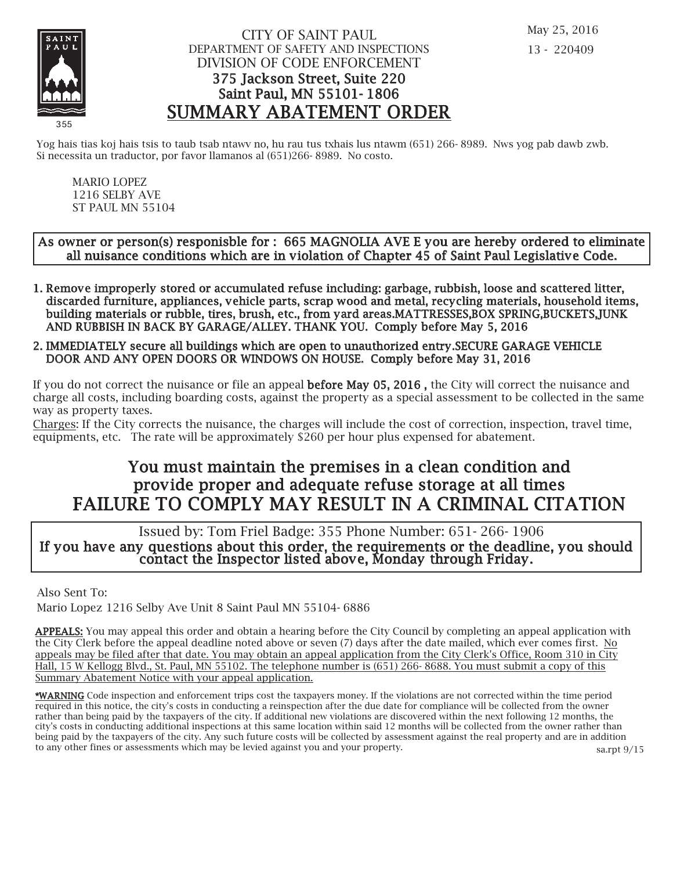

### CITY OF SAINT PAUL DEPARTMENT OF SAFETY AND INSPECTIONS DIVISION OF CODE ENFORCEMENT 375 Jackson Street, Suite 220 Saint Paul, MN 55101- 1806 SUMMARY ABATEMENT ORDER

Yog hais tias koj hais tsis to taub tsab ntawv no, hu rau tus txhais lus ntawm (651) 266-8989. Nws yog pab dawb zwb. Si necessita un traductor, por favor llamanos al (651)266- 8989. No costo.

MARIO LOPEZ 1216 SELBY AVE ST PAUL MN 55104

### As owner or person(s) responisble for : 665 MAGNOLIA AVE E you are hereby ordered to eliminate all nuisance conditions which are in violation of Chapter 45 of Saint Paul Legislative Code.

- 1. Remove improperly stored or accumulated refuse including: garbage, rubbish, loose and scattered litter, discarded furniture, appliances, vehicle parts, scrap wood and metal, recycling materials, household items, building materials or rubble, tires, brush, etc., from yard areas.MATTRESSES,BOX SPRING,BUCKETS,JUNK AND RUBBISH IN BACK BY GARAGE/ALLEY. THANK YOU. Comply before May 5, 2016
- 2. IMMEDIATELY secure all buildings which are open to unauthorized entry.SECURE GARAGE VEHICLE DOOR AND ANY OPEN DOORS OR WINDOWS ON HOUSE. Comply before May 31, 2016

If you do not correct the nuisance or file an appeal before May 05, 2016 , the City will correct the nuisance and charge all costs, including boarding costs, against the property as a special assessment to be collected in the same way as property taxes.

Charges: If the City corrects the nuisance, the charges will include the cost of correction, inspection, travel time, equipments, etc. The rate will be approximately \$260 per hour plus expensed for abatement.

# You must maintain the premises in a clean condition and prov ide proper and adequate refuse storage at all times FAILURE TO COMPLY MAY RESULT IN A CRIMINAL CITATION

 Issued by: Tom Friel Badge: 355 Phone Number: 651- 266- 1906 If you have any questions about this order, the requirements or the deadline, you should contact the Inspector listed above, Monday through Friday.

Also Sent To:

Mario Lopez 1216 Selby Ave Unit 8 Saint Paul MN 55104- 6886

APPEALS: You may appeal this order and obtain a hearing before the City Council by completing an appeal application with the City Clerk before the appeal deadline noted above or seven (7) days after the date mailed, which ever comes first. No appeals may be filed after that date. You may obtain an appeal application from the City Clerk's Office, Room 310 in City Hall, 15 W Kellogg Blvd., St. Paul, MN 55102. The telephone number is (651) 266- 8688. You must submit a copy of this Summary Abatement Notice with your appeal application.

\*WARNING Code inspection and enforcement trips cost the taxpayers money. If the violations are not corrected within the time period required in this notice, the city's costs in conducting a reinspection after the due date for compliance will be collected from the owner rather than being paid by the taxpayers of the city. If additional new violations are discovered within the next following 12 months, the city's costs in conducting additional inspections at this same location within said 12 months will be collected from the owner rather than being paid by the taxpayers of the city. Any such future costs will be collected by assessment against the real property and are in addition to any other fines or assessments which may be levied against you and your property. sa.rpt 9/15